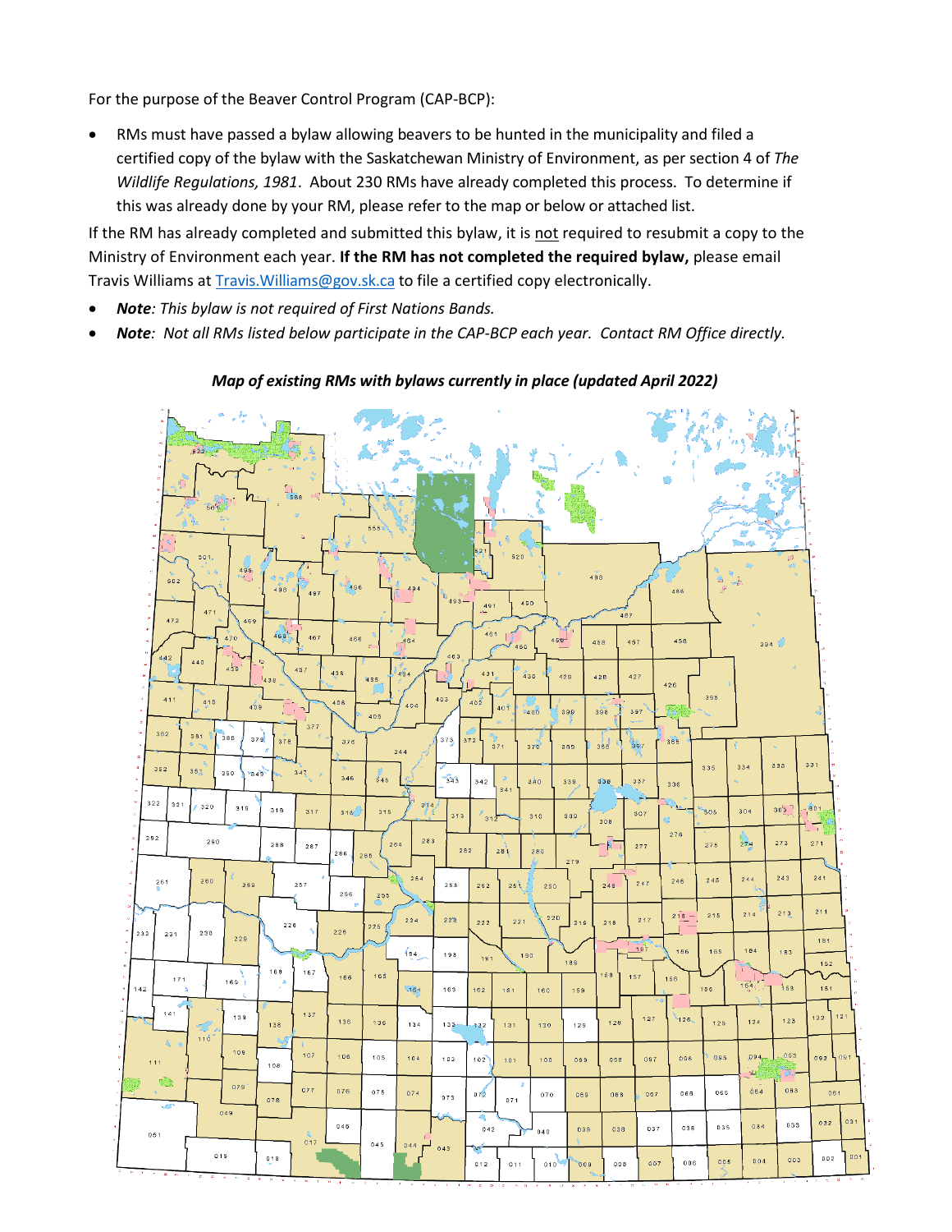For the purpose of the Beaver Control Program (CAP-BCP):

• RMs must have passed a bylaw allowing beavers to be hunted in the municipality and filed a certified copy of the bylaw with the Saskatchewan Ministry of Environment, as per section 4 of *The Wildlife Regulations, 1981*. About 230 RMs have already completed this process. To determine if this was already done by your RM, please refer to the map or below or attached list.

If the RM has already completed and submitted this bylaw, it is not required to resubmit a copy to the Ministry of Environment each year. **If the RM has not completed the required bylaw,** please email Travis Williams at [Travis.Williams@gov.sk.ca](mailto:Travis.Williams@gov.sk.ca) to file a certified copy electronically.

- *Note: This bylaw is not required of First Nations Bands.*
- *Note: Not all RMs listed below participate in the CAP-BCP each year. Contact RM Office directly.*

## *Map of existing RMs with bylaws currently in place (updated April 2022)*

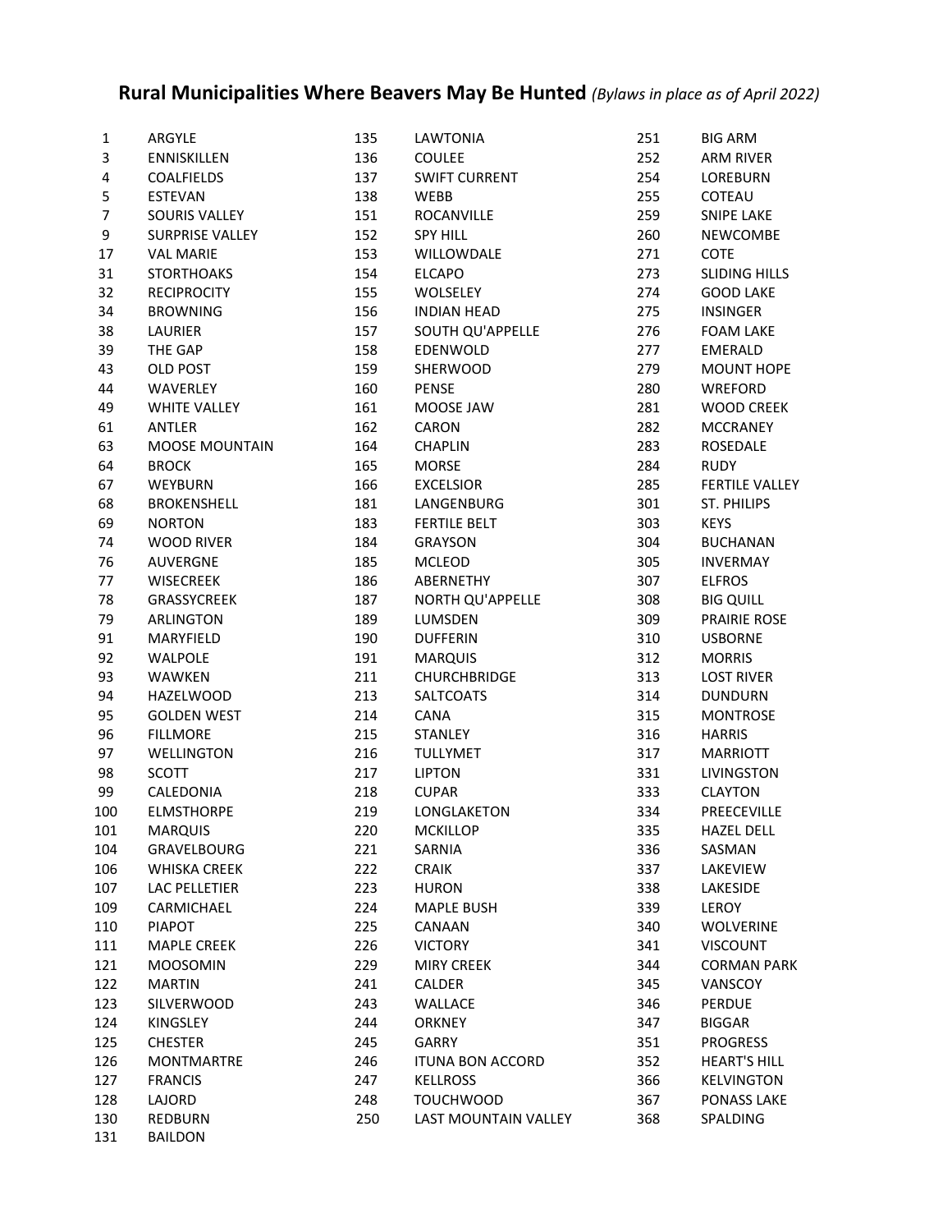## **Rural Municipalities Where Beavers May Be Hunted** *(Bylaws in place as of April 2022)*

| 1              | ARGYLE                 | 135 | LAWTONIA                | 251 | <b>BIG ARM</b>        |
|----------------|------------------------|-----|-------------------------|-----|-----------------------|
| 3              | <b>ENNISKILLEN</b>     | 136 | <b>COULEE</b>           | 252 | ARM RIVER             |
| 4              | <b>COALFIELDS</b>      | 137 | <b>SWIFT CURRENT</b>    | 254 | LOREBURN              |
| 5              | <b>ESTEVAN</b>         | 138 | <b>WEBB</b>             | 255 | <b>COTEAU</b>         |
| $\overline{7}$ | SOURIS VALLEY          | 151 | ROCANVILLE              | 259 | SNIPE LAKE            |
| 9              | <b>SURPRISE VALLEY</b> | 152 | <b>SPY HILL</b>         | 260 | <b>NEWCOMBE</b>       |
| 17             | <b>VAL MARIE</b>       | 153 | WILLOWDALE              | 271 | <b>COTE</b>           |
| 31             | <b>STORTHOAKS</b>      | 154 | <b>ELCAPO</b>           | 273 | <b>SLIDING HILLS</b>  |
| 32             | <b>RECIPROCITY</b>     | 155 | <b>WOLSELEY</b>         | 274 | <b>GOOD LAKE</b>      |
| 34             | <b>BROWNING</b>        | 156 | <b>INDIAN HEAD</b>      | 275 | <b>INSINGER</b>       |
| 38             | LAURIER                | 157 | SOUTH QU'APPELLE        | 276 | <b>FOAM LAKE</b>      |
|                |                        |     |                         |     |                       |
| 39             | THE GAP                | 158 | EDENWOLD                | 277 | <b>EMERALD</b>        |
| 43             | OLD POST               | 159 | SHERWOOD                | 279 | MOUNT HOPE            |
| 44             | WAVERLEY               | 160 | <b>PENSE</b>            | 280 | WREFORD               |
| 49             | <b>WHITE VALLEY</b>    | 161 | MOOSE JAW               | 281 | <b>WOOD CREEK</b>     |
| 61             | ANTLER                 | 162 | CARON                   | 282 | <b>MCCRANEY</b>       |
| 63             | <b>MOOSE MOUNTAIN</b>  | 164 | <b>CHAPLIN</b>          | 283 | ROSEDALE              |
| 64             | <b>BROCK</b>           | 165 | <b>MORSE</b>            | 284 | <b>RUDY</b>           |
| 67             | WEYBURN                | 166 | <b>EXCELSIOR</b>        | 285 | <b>FERTILE VALLEY</b> |
| 68             | <b>BROKENSHELL</b>     | 181 | LANGENBURG              | 301 | ST. PHILIPS           |
| 69             | <b>NORTON</b>          | 183 | <b>FERTILE BELT</b>     | 303 | <b>KEYS</b>           |
| 74             | <b>WOOD RIVER</b>      | 184 | <b>GRAYSON</b>          | 304 | <b>BUCHANAN</b>       |
| 76             | <b>AUVERGNE</b>        | 185 | <b>MCLEOD</b>           | 305 | <b>INVERMAY</b>       |
| 77             | <b>WISECREEK</b>       | 186 | ABERNETHY               | 307 | <b>ELFROS</b>         |
| 78             | GRASSYCREEK            | 187 | NORTH QU'APPELLE        | 308 | <b>BIG QUILL</b>      |
| 79             | <b>ARLINGTON</b>       | 189 | LUMSDEN                 | 309 | <b>PRAIRIE ROSE</b>   |
| 91             | MARYFIELD              | 190 | <b>DUFFERIN</b>         | 310 | <b>USBORNE</b>        |
| 92             | WALPOLE                | 191 | <b>MARQUIS</b>          | 312 | <b>MORRIS</b>         |
| 93             | WAWKEN                 | 211 | <b>CHURCHBRIDGE</b>     | 313 | <b>LOST RIVER</b>     |
| 94             | <b>HAZELWOOD</b>       | 213 | <b>SALTCOATS</b>        | 314 | <b>DUNDURN</b>        |
| 95             | <b>GOLDEN WEST</b>     | 214 | CANA                    | 315 | <b>MONTROSE</b>       |
| 96             | <b>FILLMORE</b>        | 215 | <b>STANLEY</b>          | 316 | <b>HARRIS</b>         |
| 97             | <b>WELLINGTON</b>      | 216 | <b>TULLYMET</b>         | 317 | MARRIOTT              |
| 98             | <b>SCOTT</b>           | 217 | <b>LIPTON</b>           | 331 | LIVINGSTON            |
| 99             | CALEDONIA              | 218 | <b>CUPAR</b>            | 333 | <b>CLAYTON</b>        |
| 100            | <b>ELMSTHORPE</b>      | 219 | LONGLAKETON             | 334 | PREECEVILLE           |
|                |                        |     |                         |     |                       |
| 101            | <b>MARQUIS</b>         | 220 | <b>MCKILLOP</b>         | 335 | <b>HAZEL DELL</b>     |
| 104            | GRAVELBOURG            | 221 | SARNIA                  | 336 | SASMAN                |
| 106            | <b>WHISKA CREEK</b>    | 222 | <b>CRAIK</b>            | 337 | LAKEVIEW              |
| 107            | LAC PELLETIER          | 223 | <b>HURON</b>            | 338 | LAKESIDE              |
| 109            | CARMICHAEL             | 224 | <b>MAPLE BUSH</b>       | 339 | LEROY                 |
| 110            | <b>PIAPOT</b>          | 225 | CANAAN                  | 340 | <b>WOLVERINE</b>      |
| 111            | <b>MAPLE CREEK</b>     | 226 | <b>VICTORY</b>          | 341 | <b>VISCOUNT</b>       |
| 121            | <b>MOOSOMIN</b>        | 229 | <b>MIRY CREEK</b>       | 344 | <b>CORMAN PARK</b>    |
| 122            | <b>MARTIN</b>          | 241 | CALDER                  | 345 | VANSCOY               |
| 123            | SILVERWOOD             | 243 | WALLACE                 | 346 | PERDUE                |
| 124            | <b>KINGSLEY</b>        | 244 | <b>ORKNEY</b>           | 347 | <b>BIGGAR</b>         |
| 125            | <b>CHESTER</b>         | 245 | GARRY                   | 351 | <b>PROGRESS</b>       |
| 126            | <b>MONTMARTRE</b>      | 246 | <b>ITUNA BON ACCORD</b> | 352 | <b>HEART'S HILL</b>   |
| 127            | <b>FRANCIS</b>         | 247 | <b>KELLROSS</b>         | 366 | <b>KELVINGTON</b>     |
| 128            | LAJORD                 | 248 | <b>TOUCHWOOD</b>        | 367 | PONASS LAKE           |
| 130            | <b>REDBURN</b>         | 250 | LAST MOUNTAIN VALLEY    | 368 | SPALDING              |
| 131            | <b>BAILDON</b>         |     |                         |     |                       |